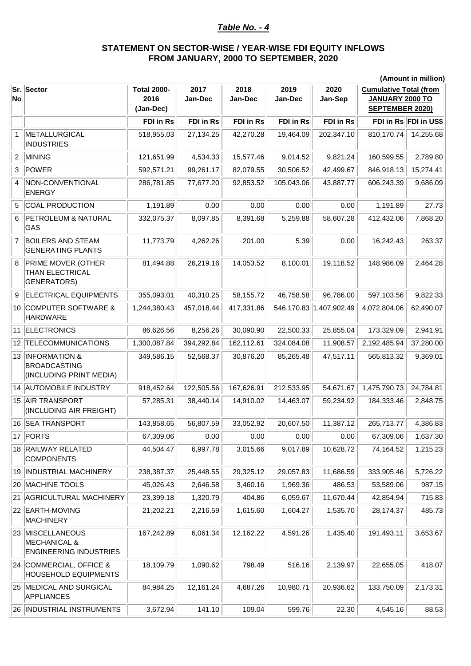## *Table No. - 4*

## **STATEMENT ON SECTOR-WISE / YEAR-WISE FDI EQUITY INFLOWS FROM JANUARY, 2000 TO SEPTEMBER, 2020**

|                | (Amount in million)                                                          |                                         |                 |                 |                 |                         |                                                                                   |                       |
|----------------|------------------------------------------------------------------------------|-----------------------------------------|-----------------|-----------------|-----------------|-------------------------|-----------------------------------------------------------------------------------|-----------------------|
| No             | Sr. Sector                                                                   | <b>Total 2000-</b><br>2016<br>(Jan-Dec) | 2017<br>Jan-Dec | 2018<br>Jan-Dec | 2019<br>Jan-Dec | 2020<br>Jan-Sep         | <b>Cumulative Total (from</b><br><b>JANUARY 2000 TO</b><br><b>SEPTEMBER 2020)</b> |                       |
|                |                                                                              | FDI in Rs                               | FDI in Rs       | FDI in Rs       | FDI in Rs       | FDI in Rs               |                                                                                   | FDI in Rs FDI in US\$ |
| $\mathbf{1}$   | METALLURGICAL<br><b>INDUSTRIES</b>                                           | 518,955.03                              | 27,134.25       | 42,270.28       | 19,464.09       | 202,347.10              | 810,170.74                                                                        | 14,255.68             |
| $\overline{2}$ | MINING                                                                       | 121,651.99                              | 4,534.33        | 15,577.46       | 9,014.52        | 9,821.24                | 160,599.55                                                                        | 2,789.80              |
| 3              | POWER                                                                        | 592,571.21                              | 99,261.17       | 82,079.55       | 30,506.52       | 42,499.67               | 846,918.13                                                                        | 15,274.41             |
| 4              | NON-CONVENTIONAL<br><b>ENERGY</b>                                            | 286,781.85                              | 77,677.20       | 92,853.52       | 105,043.06      | 43,887.77               | 606,243.39                                                                        | 9,686.09              |
| 5              | <b>COAL PRODUCTION</b>                                                       | 1,191.89                                | 0.00            | 0.00            | 0.00            | 0.00                    | 1,191.89                                                                          | 27.73                 |
| 6              | <b>PETROLEUM &amp; NATURAL</b><br>GAS                                        | 332,075.37                              | 8,097.85        | 8,391.68        | 5,259.88        | 58,607.28               | 412,432.06                                                                        | 7,868.20              |
| $\overline{7}$ | <b>BOILERS AND STEAM</b><br><b>GENERATING PLANTS</b>                         | 11,773.79                               | 4,262.26        | 201.00          | 5.39            | 0.00                    | 16,242.43                                                                         | 263.37                |
| 8              | PRIME MOVER (OTHER<br>THAN ELECTRICAL<br><b>GENERATORS)</b>                  | 81,494.88                               | 26,219.16       | 14,053.52       | 8,100.01        | 19,118.52               | 148,986.09                                                                        | 2,464.28              |
| 9              | <b>ELECTRICAL EQUIPMENTS</b>                                                 | 355,093.01                              | 40,310.25       | 58,155.72       | 46,758.58       | 96,786.00               | 597,103.56                                                                        | 9,822.33              |
|                | 10 COMPUTER SOFTWARE &<br><b>HARDWARE</b>                                    | 1,244,380.43                            | 457,018.44      | 417,331.86      |                 | 546,170.83 1,407,902.49 | 4,072,804.06                                                                      | 62,490.07             |
|                | 11 ELECTRONICS                                                               | 86,626.56                               | 8,256.26        | 30,090.90       | 22,500.33       | 25,855.04               | 173,329.09                                                                        | 2,941.91              |
|                | 12 TELECOMMUNICATIONS                                                        | 1,300,087.84                            | 394,292.84      | 162,112.61      | 324,084.08      | 11,908.57               | 2,192,485.94                                                                      | 37,280.00             |
|                | 13 INFORMATION &<br><b>BROADCASTING</b><br>(INCLUDING PRINT MEDIA)           | 349,586.15                              | 52,568.37       | 30,876.20       | 85,265.48       | 47,517.11               | 565,813.32                                                                        | 9,369.01              |
|                | 14 AUTOMOBILE INDUSTRY                                                       | 918,452.64                              | 122,505.56      | 167,626.91      | 212,533.95      | 54,671.67               | 1,475,790.73                                                                      | 24,784.81             |
|                | 15 AIR TRANSPORT<br>(INCLUDING AIR FREIGHT)                                  | 57,285.31                               | 38,440.14       | 14,910.02       | 14,463.07       | 59,234.92               | 184,333.46                                                                        | 2,848.75              |
|                | 16 SEA TRANSPORT                                                             | 143,858.65                              | 56,807.59       | 33,052.92       | 20,607.50       | 11,387.12               | 265,713.77                                                                        | 4,386.83              |
|                | 17 PORTS                                                                     | 67,309.06                               | 0.00            | 0.00            | 0.00            | 0.00                    | 67,309.06                                                                         | 1,637.30              |
|                | 18 RAILWAY RELATED<br><b>COMPONENTS</b>                                      | 44,504.47                               | 6,997.78        | 3,015.66        | 9,017.89        | 10,628.72               | 74,164.52                                                                         | 1,215.23              |
|                | 19 INDUSTRIAL MACHINERY                                                      | 238,387.37                              | 25,448.55       | 29,325.12       | 29,057.83       | 11,686.59               | 333,905.46                                                                        | 5,726.22              |
|                | 20 MACHINE TOOLS                                                             | 45,026.43                               | 2,646.58        | 3,460.16        | 1,969.36        | 486.53                  | 53,589.06                                                                         | 987.15                |
|                | 21 AGRICULTURAL MACHINERY                                                    | 23,399.18                               | 1,320.79        | 404.86          | 6,059.67        | 11,670.44               | 42,854.94                                                                         | 715.83                |
|                | 22 EARTH-MOVING<br><b>MACHINERY</b>                                          | 21,202.21                               | 2,216.59        | 1,615.60        | 1,604.27        | 1,535.70                | 28,174.37                                                                         | 485.73                |
|                | 23 MISCELLANEOUS<br><b>MECHANICAL &amp;</b><br><b>ENGINEERING INDUSTRIES</b> | 167,242.89                              | 6,061.34        | 12,162.22       | 4,591.26        | 1,435.40                | 191,493.11                                                                        | 3,653.67              |
|                | 24 COMMERCIAL, OFFICE &<br><b>HOUSEHOLD EQUIPMENTS</b>                       | 18,109.79                               | 1,090.62        | 798.49          | 516.16          | 2,139.97                | 22,655.05                                                                         | 418.07                |
|                | 25 MEDICAL AND SURGICAL<br><b>APPLIANCES</b>                                 | 84,984.25                               | 12,161.24       | 4,687.26        | 10,980.71       | 20,936.62               | 133,750.09                                                                        | 2,173.31              |
|                | 26  INDUSTRIAL INSTRUMENTS                                                   | 3,672.94                                | 141.10          | 109.04          | 599.76          | 22.30                   | 4,545.16                                                                          | 88.53                 |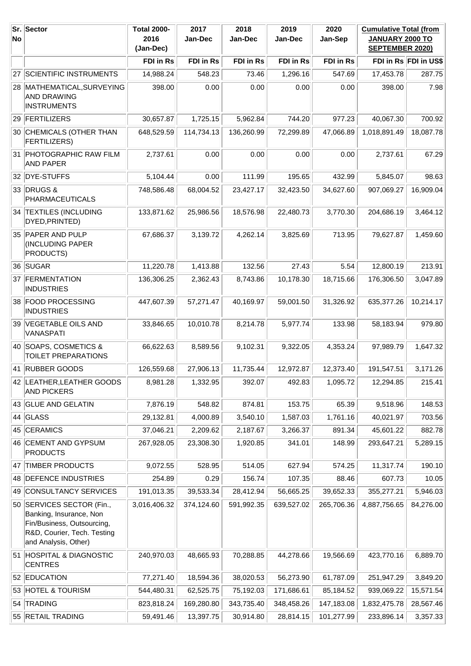| <b>No</b> | Sr. Sector                                                                                                                                | <b>Total 2000-</b><br>2016<br>(Jan-Dec) | 2017<br>Jan-Dec | 2018<br>Jan-Dec | 2019<br>Jan-Dec | 2020<br>Jan-Sep | <b>Cumulative Total (from</b><br>JANUARY 2000 TO<br><b>SEPTEMBER 2020)</b> |                       |
|-----------|-------------------------------------------------------------------------------------------------------------------------------------------|-----------------------------------------|-----------------|-----------------|-----------------|-----------------|----------------------------------------------------------------------------|-----------------------|
|           |                                                                                                                                           | FDI in Rs                               | FDI in Rs       | FDI in Rs       | FDI in Rs       | FDI in Rs       |                                                                            | FDI in Rs FDI in US\$ |
|           | 27 SCIENTIFIC INSTRUMENTS                                                                                                                 | 14,988.24                               | 548.23          | 73.46           | 1,296.16        | 547.69          | 17,453.78                                                                  | 287.75                |
|           | 28 MATHEMATICAL, SURVEYING<br><b>AND DRAWING</b><br><b>INSTRUMENTS</b>                                                                    | 398.00                                  | 0.00            | 0.00            | 0.00            | 0.00            | 398.00                                                                     | 7.98                  |
|           | 29 FERTILIZERS                                                                                                                            | 30,657.87                               | 1,725.15        | 5,962.84        | 744.20          | 977.23          | 40,067.30                                                                  | 700.92                |
|           | 30 CHEMICALS (OTHER THAN<br>FERTILIZERS)                                                                                                  | 648,529.59                              | 114,734.13      | 136,260.99      | 72,299.89       | 47,066.89       | 1,018,891.49                                                               | 18,087.78             |
|           | 31 PHOTOGRAPHIC RAW FILM<br><b>AND PAPER</b>                                                                                              | 2,737.61                                | 0.00            | 0.00            | 0.00            | 0.00            | 2,737.61                                                                   | 67.29                 |
|           | 32 DYE-STUFFS                                                                                                                             | 5,104.44                                | 0.00            | 111.99          | 195.65          | 432.99          | 5,845.07                                                                   | 98.63                 |
|           | 33 DRUGS &<br><b>PHARMACEUTICALS</b>                                                                                                      | 748,586.48                              | 68,004.52       | 23,427.17       | 32,423.50       | 34,627.60       | 907,069.27                                                                 | 16,909.04             |
|           | 34 TEXTILES (INCLUDING<br>DYED, PRINTED)                                                                                                  | 133,871.62                              | 25,986.56       | 18,576.98       | 22,480.73       | 3,770.30        | 204,686.19                                                                 | 3,464.12              |
|           | 35 PAPER AND PULP<br>(INCLUDING PAPER<br>PRODUCTS)                                                                                        | 67,686.37                               | 3,139.72        | 4,262.14        | 3,825.69        | 713.95          | 79,627.87                                                                  | 1,459.60              |
|           | 36 SUGAR                                                                                                                                  | 11,220.78                               | 1,413.88        | 132.56          | 27.43           | 5.54            | 12,800.19                                                                  | 213.91                |
|           | 37 FERMENTATION<br><b>INDUSTRIES</b>                                                                                                      | 136,306.25                              | 2,362.43        | 8,743.86        | 10,178.30       | 18,715.66       | 176,306.50                                                                 | 3,047.89              |
|           | 38 FOOD PROCESSING<br><b>INDUSTRIES</b>                                                                                                   | 447,607.39                              | 57,271.47       | 40,169.97       | 59,001.50       | 31,326.92       | 635,377.26                                                                 | 10,214.17             |
|           | 39 VEGETABLE OILS AND<br>VANASPATI                                                                                                        | 33,846.65                               | 10,010.78       | 8,214.78        | 5,977.74        | 133.98          | 58,183.94                                                                  | 979.80                |
|           | 40 SOAPS, COSMETICS &<br>TOILET PREPARATIONS                                                                                              | 66,622.63                               | 8,589.56        | 9,102.31        | 9,322.05        | 4,353.24        | 97,989.79                                                                  | 1,647.32              |
|           | 41 RUBBER GOODS                                                                                                                           | 126,559.68                              | 27,906.13       | 11,735.44       | 12,972.87       | 12,373.40       | 191,547.51                                                                 | 3,171.26              |
|           | 42 LEATHER, LEATHER GOODS<br><b>AND PICKERS</b>                                                                                           | 8,981.28                                | 1,332.95        | 392.07          | 492.83          | 1,095.72        | 12,294.85                                                                  | 215.41                |
|           | 43 GLUE AND GELATIN                                                                                                                       | 7,876.19                                | 548.82          | 874.81          | 153.75          | 65.39           | 9,518.96                                                                   | 148.53                |
|           | 44 GLASS                                                                                                                                  | 29,132.81                               | 4,000.89        | 3,540.10        | 1,587.03        | 1,761.16        | 40,021.97                                                                  | 703.56                |
|           | 45 CERAMICS                                                                                                                               | 37,046.21                               | 2,209.62        | 2,187.67        | 3,266.37        | 891.34          | 45,601.22                                                                  | 882.78                |
|           | 46 CEMENT AND GYPSUM<br><b>PRODUCTS</b>                                                                                                   | 267,928.05                              | 23,308.30       | 1,920.85        | 341.01          | 148.99          | 293,647.21                                                                 | 5,289.15              |
| 47        | <b>TIMBER PRODUCTS</b>                                                                                                                    | 9,072.55                                | 528.95          | 514.05          | 627.94          | 574.25          | 11,317.74                                                                  | 190.10                |
|           | 48 DEFENCE INDUSTRIES                                                                                                                     | 254.89                                  | 0.29            | 156.74          | 107.35          | 88.46           | 607.73                                                                     | 10.05                 |
|           | 49 CONSULTANCY SERVICES                                                                                                                   | 191,013.35                              | 39,533.34       | 28,412.94       | 56,665.25       | 39,652.33       | 355,277.21                                                                 | 5,946.03              |
|           | 50 SERVICES SECTOR (Fin.,<br>Banking, Insurance, Non<br>Fin/Business, Outsourcing,<br>R&D, Courier, Tech. Testing<br>and Analysis, Other) | 3,016,406.32                            | 374,124.60      | 591,992.35      | 639,527.02      | 265,706.36      | 4,887,756.65                                                               | 84,276.00             |
|           | 51 HOSPITAL & DIAGNOSTIC<br><b>CENTRES</b>                                                                                                | 240,970.03                              | 48,665.93       | 70,288.85       | 44,278.66       | 19,566.69       | 423,770.16                                                                 | 6,889.70              |
|           | 52 EDUCATION                                                                                                                              | 77,271.40                               | 18,594.36       | 38,020.53       | 56,273.90       | 61,787.09       | 251,947.29                                                                 | 3,849.20              |
|           | 53 HOTEL & TOURISM                                                                                                                        | 544,480.31                              | 62,525.75       | 75,192.03       | 171,686.61      | 85,184.52       | 939,069.22                                                                 | 15,571.54             |
|           | 54 TRADING                                                                                                                                | 823,818.24                              | 169,280.80      | 343,735.40      | 348,458.26      | 147,183.08      | 1,832,475.78                                                               | 28,567.46             |
|           | 55 RETAIL TRADING                                                                                                                         | 59,491.46                               | 13,397.75       | 30,914.80       | 28,814.15       | 101,277.99      | 233,896.14                                                                 | 3,357.33              |